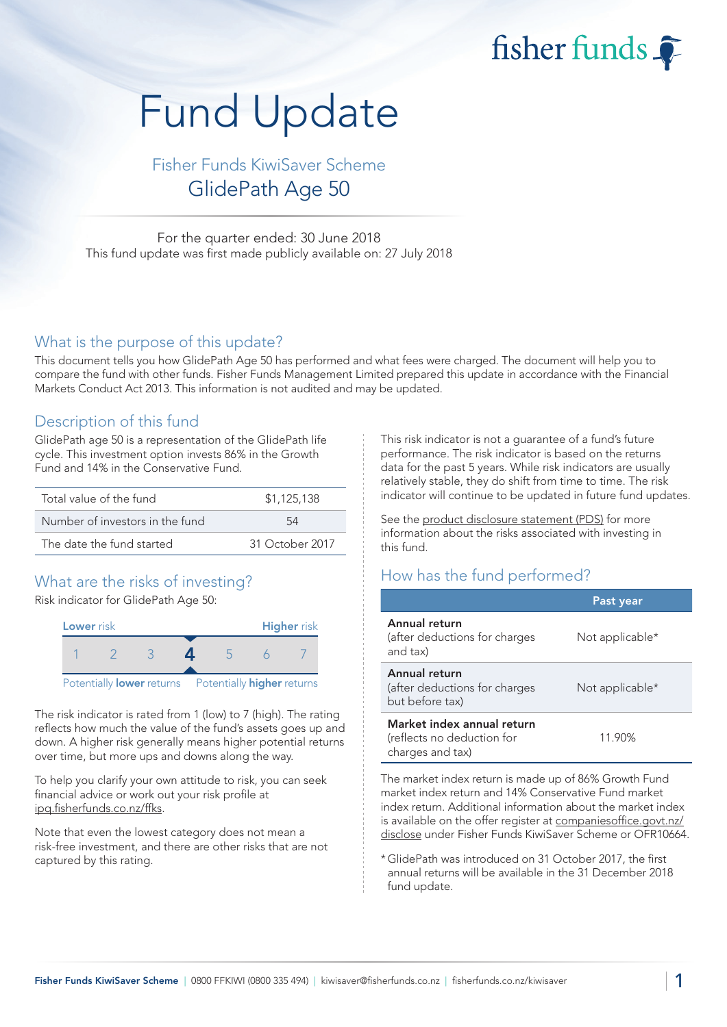fisher funds

# Fund Update

Fisher Funds KiwiSaver Scheme GlidePath Age 50

For the quarter ended: 30 June 2018 This fund update was first made publicly available on: 27 July 2018

#### What is the purpose of this update?

This document tells you how GlidePath Age 50 has performed and what fees were charged. The document will help you to compare the fund with other funds. Fisher Funds Management Limited prepared this update in accordance with the Financial Markets Conduct Act 2013. This information is not audited and may be updated.

## Description of this fund

GlidePath age 50 is a representation of the GlidePath life cycle. This investment option invests 86% in the Growth Fund and 14% in the Conservative Fund.

| Total value of the fund         | \$1,125,138     |  |
|---------------------------------|-----------------|--|
| Number of investors in the fund | 54              |  |
| The date the fund started       | 31 October 2017 |  |

# What are the risks of investing?

Risk indicator for GlidePath Age 50:



The risk indicator is rated from 1 (low) to 7 (high). The rating reflects how much the value of the fund's assets goes up and down. A higher risk generally means higher potential returns over time, but more ups and downs along the way.

To help you clarify your own attitude to risk, you can seek financial advice or work out your risk profile at [ipq.fisherfunds.co.nz/ffks.](https://ipq.fisherfunds.co.nz/ffks)

Note that even the lowest category does not mean a risk-free investment, and there are other risks that are not captured by this rating.

This risk indicator is not a guarantee of a fund's future performance. The risk indicator is based on the returns data for the past 5 years. While risk indicators are usually relatively stable, they do shift from time to time. The risk indicator will continue to be updated in future fund updates.

See the [product disclosure statement \(PDS\)](https://fisherfunds.co.nz/assets/PDS/Fisher-Funds-KiwiSaver-Scheme-PDS.pdf) for more information about the risks associated with investing in this fund.

# How has the fund performed?

|                                                                              | Past year       |
|------------------------------------------------------------------------------|-----------------|
| Annual return<br>(after deductions for charges<br>and tax)                   | Not applicable* |
| Annual return<br>(after deductions for charges<br>but before tax)            | Not applicable* |
| Market index annual return<br>(reflects no deduction for<br>charges and tax) | 11.90%          |

The market index return is made up of 86% Growth Fund market index return and 14% Conservative Fund market index return. Additional information about the market index is available on the offer register at [companiesoffice.govt.nz/](http://companiesoffice.govt.nz/disclose) [disclose](http://companiesoffice.govt.nz/disclose) under Fisher Funds KiwiSaver Scheme or OFR10664.

\*GlidePath was introduced on 31 October 2017, the first annual returns will be available in the 31 December 2018 fund update.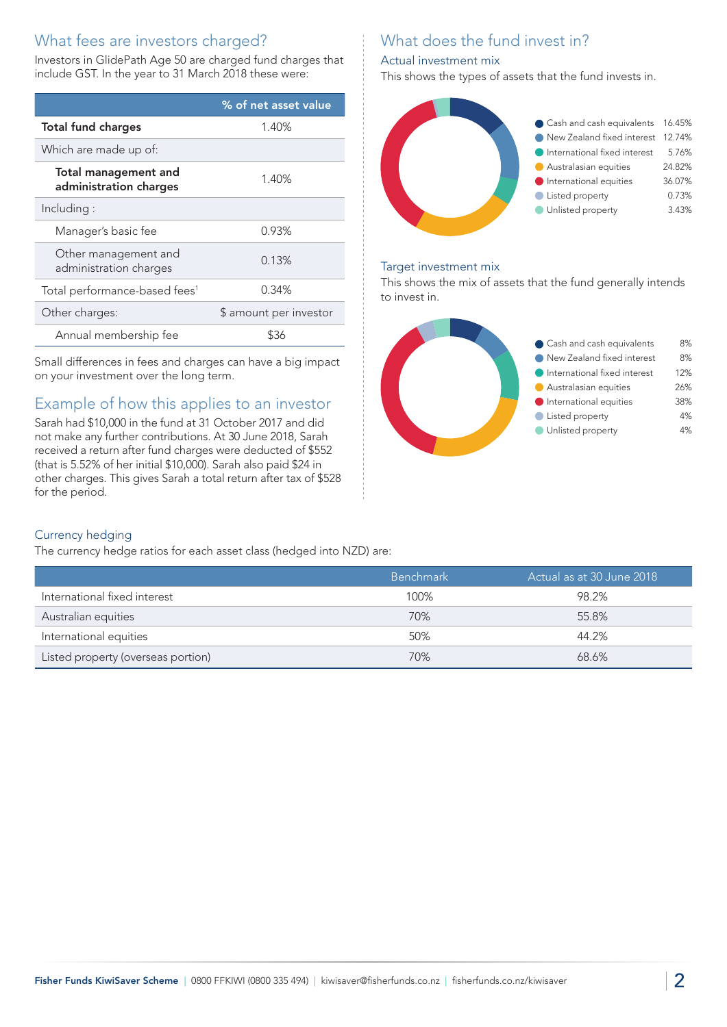# What fees are investors charged?

Investors in GlidePath Age 50 are charged fund charges that include GST. In the year to 31 March 2018 these were:

|                                                       | % of net asset value   |
|-------------------------------------------------------|------------------------|
| <b>Total fund charges</b>                             | 1.40%                  |
| Which are made up of:                                 |                        |
| <b>Total management and</b><br>administration charges | 1.40%                  |
| Including:                                            |                        |
| Manager's basic fee                                   | 0.93%                  |
| Other management and<br>administration charges        | 0.13%                  |
| Total performance-based fees <sup>1</sup>             | 0.34%                  |
| Other charges:                                        | \$ amount per investor |
| Annual membership fee                                 | \$36                   |

Small differences in fees and charges can have a big impact on your investment over the long term.

# Example of how this applies to an investor

Sarah had \$10,000 in the fund at 31 October 2017 and did not make any further contributions. At 30 June 2018, Sarah received a return after fund charges were deducted of \$552 (that is 5.52% of her initial \$10,000). Sarah also paid \$24 in other charges. This gives Sarah a total return after tax of \$528 for the period.

# What does the fund invest in?

#### Actual investment mix

This shows the types of assets that the fund invests in.



#### Target investment mix

This shows the mix of assets that the fund generally intends to invest in.



#### Currency hedging

The currency hedge ratios for each asset class (hedged into NZD) are:

|                                    | <b>Benchmark</b> | ' Actual as at 30 June 2018 , |
|------------------------------------|------------------|-------------------------------|
| International fixed interest       | 100%             | 98.2%                         |
| Australian equities                | 70%              | 55.8%                         |
| International equities             | 50%              | 44.2%                         |
| Listed property (overseas portion) | 70%              | 68.6%                         |